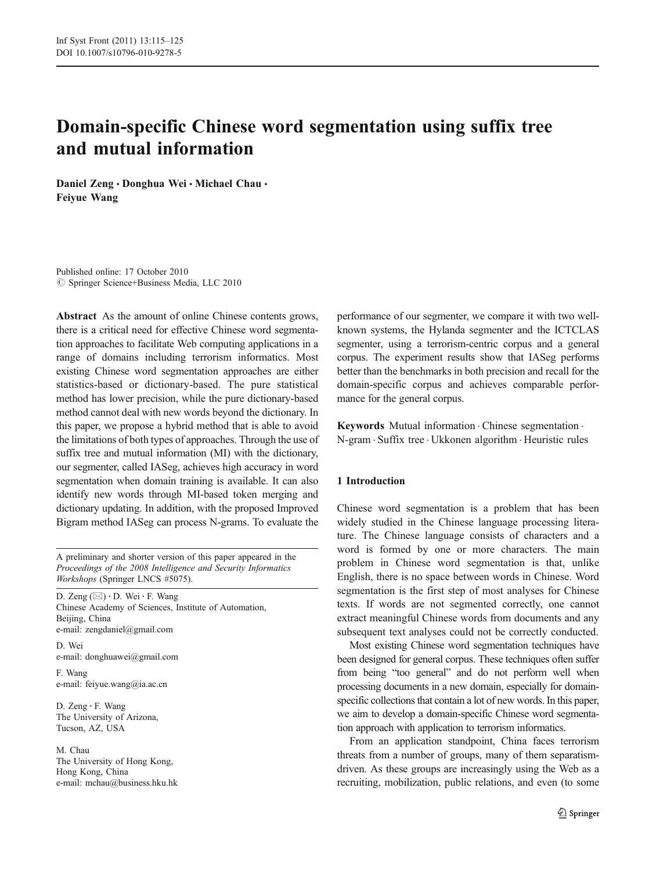# Domain-specific Chinese word segmentation using suffix tree and mutual information

Daniel Zeng · Donghua Wei · Michael Chau · Feiyue Wang

Published online: 17 October 2010  $©$  Springer Science+Business Media, LLC 2010

Abstract As the amount of online Chinese contents grows, there is a critical need for effective Chinese word segmentation approaches to facilitate Web computing applications in a range of domains including terrorism informatics. Most existing Chinese word segmentation approaches are either statistics-based or dictionary-based. The pure statistical method has lower precision, while the pure dictionary-based method cannot deal with new words beyond the dictionary. In this paper, we propose a hybrid method that is able to avoid the limitations of both types of approaches. Through the use of suffix tree and mutual information (MI) with the dictionary, our segmenter, called IASeg, achieves high accuracy in word segmentation when domain training is available. It can also identify new words through MI-based token merging and dictionary updating. In addition, with the proposed Improved Bigram method IASeg can process N-grams. To evaluate the

A preliminary and shorter version of this paper appeared in the Proceedings of the 2008 Intelligence and Security Informatics Workshops (Springer LNCS #5075).

D. Zeng  $(\boxtimes) \cdot$  D. Wei  $\cdot$  F. Wang Chinese Academy of Sciences, Institute of Automation, Beijing, China e-mail: zengdaniel@gmail.com

D. Wei e-mail: donghuawei@gmail.com

F. Wang e-mail: feiyue.wang@ia.ac.cn

D. Zeng : F. Wang The University of Arizona, Tucson, AZ, USA

M. Chau The University of Hong Kong, Hong Kong, China e-mail: mchau@business.hku.hk

performance of our segmenter, we compare it with two wellknown systems, the Hylanda segmenter and the ICTCLAS segmenter, using a terrorism-centric corpus and a general corpus. The experiment results show that IASeg performs better than the benchmarks in both precision and recall for the domain-specific corpus and achieves comparable performance for the general corpus.

Keywords Mutual information . Chinese segmentation . N-gram . Suffix tree . Ukkonen algorithm . Heuristic rules

# 1 Introduction

Chinese word segmentation is a problem that has been widely studied in the Chinese language processing literature. The Chinese language consists of characters and a word is formed by one or more characters. The main problem in Chinese word segmentation is that, unlike English, there is no space between words in Chinese. Word segmentation is the first step of most analyses for Chinese texts. If words are not segmented correctly, one cannot extract meaningful Chinese words from documents and any subsequent text analyses could not be correctly conducted.

Most existing Chinese word segmentation techniques have been designed for general corpus. These techniques often suffer from being "too general" and do not perform well when processing documents in a new domain, especially for domainspecific collections that contain a lot of new words. In this paper, we aim to develop a domain-specific Chinese word segmentation approach with application to terrorism informatics.

From an application standpoint, China faces terrorism threats from a number of groups, many of them separatismdriven. As these groups are increasingly using the Web as a recruiting, mobilization, public relations, and even (to some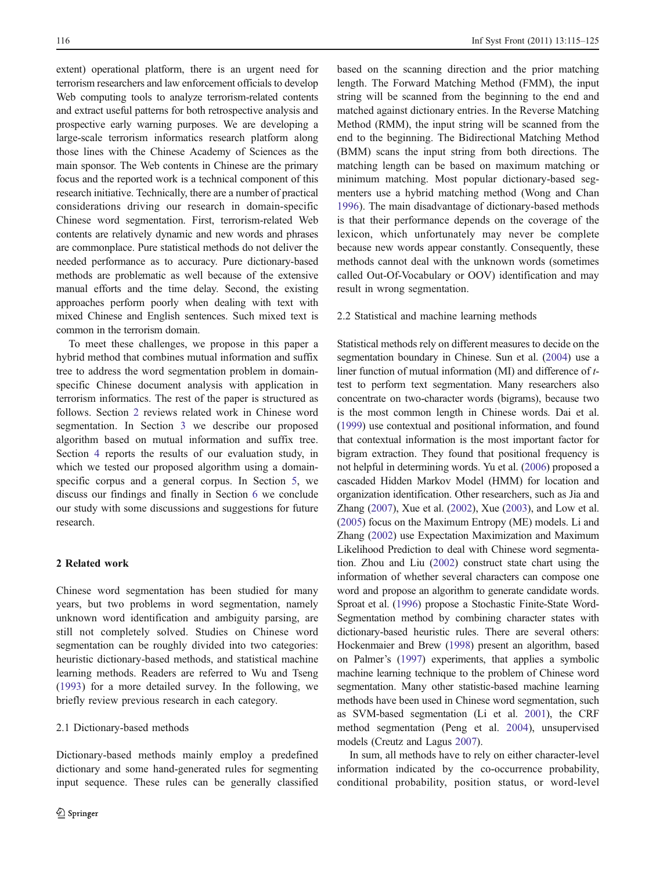extent) operational platform, there is an urgent need for terrorism researchers and law enforcement officials to develop Web computing tools to analyze terrorism-related contents and extract useful patterns for both retrospective analysis and prospective early warning purposes. We are developing a large-scale terrorism informatics research platform along those lines with the Chinese Academy of Sciences as the main sponsor. The Web contents in Chinese are the primary focus and the reported work is a technical component of this research initiative. Technically, there are a number of practical considerations driving our research in domain-specific Chinese word segmentation. First, terrorism-related Web contents are relatively dynamic and new words and phrases are commonplace. Pure statistical methods do not deliver the needed performance as to accuracy. Pure dictionary-based methods are problematic as well because of the extensive manual efforts and the time delay. Second, the existing approaches perform poorly when dealing with text with mixed Chinese and English sentences. Such mixed text is common in the terrorism domain.

To meet these challenges, we propose in this paper a hybrid method that combines mutual information and suffix tree to address the word segmentation problem in domainspecific Chinese document analysis with application in terrorism informatics. The rest of the paper is structured as follows. Section 2 reviews related work in Chinese word segmentation. In Section [3](#page-2-0) we describe our proposed algorithm based on mutual information and suffix tree. Section [4](#page-5-0) reports the results of our evaluation study, in which we tested our proposed algorithm using a domainspecific corpus and a general corpus. In Section [5,](#page-7-0) we discuss our findings and finally in Section [6](#page-8-0) we conclude our study with some discussions and suggestions for future research.

## 2 Related work

Chinese word segmentation has been studied for many years, but two problems in word segmentation, namely unknown word identification and ambiguity parsing, are still not completely solved. Studies on Chinese word segmentation can be roughly divided into two categories: heuristic dictionary-based methods, and statistical machine learning methods. Readers are referred to Wu and Tseng [\(1993](#page-9-0)) for a more detailed survey. In the following, we briefly review previous research in each category.

#### 2.1 Dictionary-based methods

Dictionary-based methods mainly employ a predefined dictionary and some hand-generated rules for segmenting input sequence. These rules can be generally classified

based on the scanning direction and the prior matching length. The Forward Matching Method (FMM), the input string will be scanned from the beginning to the end and matched against dictionary entries. In the Reverse Matching Method (RMM), the input string will be scanned from the end to the beginning. The Bidirectional Matching Method (BMM) scans the input string from both directions. The matching length can be based on maximum matching or minimum matching. Most popular dictionary-based segmenters use a hybrid matching method (Wong and Chan [1996](#page-9-0)). The main disadvantage of dictionary-based methods is that their performance depends on the coverage of the lexicon, which unfortunately may never be complete because new words appear constantly. Consequently, these methods cannot deal with the unknown words (sometimes called Out-Of-Vocabulary or OOV) identification and may result in wrong segmentation.

#### 2.2 Statistical and machine learning methods

Statistical methods rely on different measures to decide on the segmentation boundary in Chinese. Sun et al. ([2004](#page-9-0)) use a liner function of mutual information (MI) and difference of ttest to perform text segmentation. Many researchers also concentrate on two-character words (bigrams), because two is the most common length in Chinese words. Dai et al. [\(1999\)](#page-9-0) use contextual and positional information, and found that contextual information is the most important factor for bigram extraction. They found that positional frequency is not helpful in determining words. Yu et al. ([2006](#page-9-0)) proposed a cascaded Hidden Markov Model (HMM) for location and organization identification. Other researchers, such as Jia and Zhang [\(2007\)](#page-9-0), Xue et al. [\(2002\)](#page-9-0), Xue [\(2003\)](#page-9-0), and Low et al. [\(2005\)](#page-9-0) focus on the Maximum Entropy (ME) models. Li and Zhang [\(2002\)](#page-9-0) use Expectation Maximization and Maximum Likelihood Prediction to deal with Chinese word segmentation. Zhou and Liu [\(2002\)](#page-9-0) construct state chart using the information of whether several characters can compose one word and propose an algorithm to generate candidate words. Sproat et al. ([1996](#page-9-0)) propose a Stochastic Finite-State Word-Segmentation method by combining character states with dictionary-based heuristic rules. There are several others: Hockenmaier and Brew ([1998](#page-9-0)) present an algorithm, based on Palmer's ([1997](#page-9-0)) experiments, that applies a symbolic machine learning technique to the problem of Chinese word segmentation. Many other statistic-based machine learning methods have been used in Chinese word segmentation, such as SVM-based segmentation (Li et al. [2001](#page-9-0)), the CRF method segmentation (Peng et al. [2004\)](#page-9-0), unsupervised models (Creutz and Lagus [2007\)](#page-9-0).

In sum, all methods have to rely on either character-level information indicated by the co-occurrence probability, conditional probability, position status, or word-level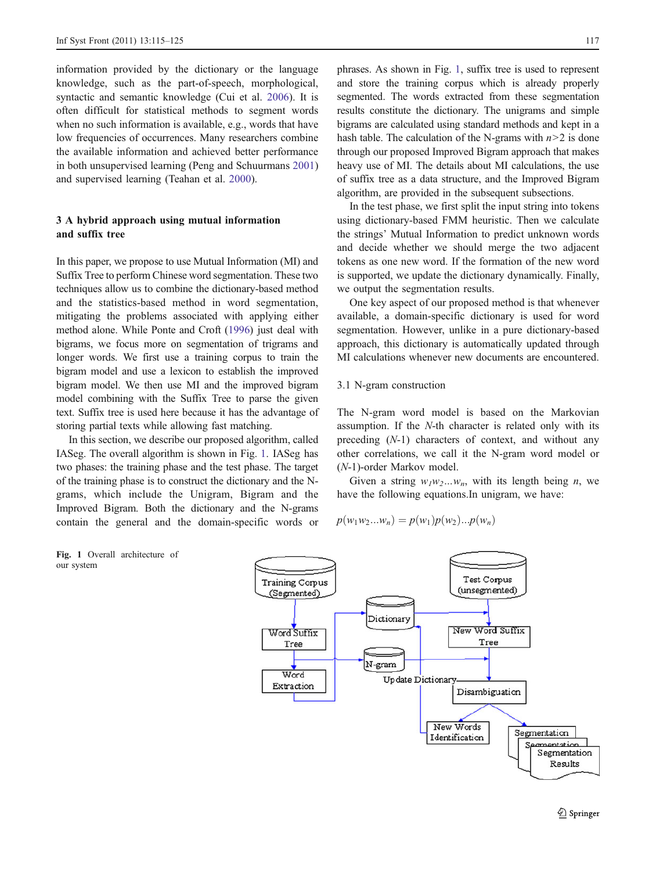<span id="page-2-0"></span>information provided by the dictionary or the language knowledge, such as the part-of-speech, morphological, syntactic and semantic knowledge (Cui et al. [2006\)](#page-9-0). It is often difficult for statistical methods to segment words when no such information is available, e.g., words that have low frequencies of occurrences. Many researchers combine the available information and achieved better performance in both unsupervised learning (Peng and Schuurmans [2001\)](#page-9-0) and supervised learning (Teahan et al. [2000](#page-9-0)).

# 3 A hybrid approach using mutual information and suffix tree

In this paper, we propose to use Mutual Information (MI) and Suffix Tree to perform Chinese word segmentation. These two techniques allow us to combine the dictionary-based method and the statistics-based method in word segmentation, mitigating the problems associated with applying either method alone. While Ponte and Croft [\(1996\)](#page-9-0) just deal with bigrams, we focus more on segmentation of trigrams and longer words. We first use a training corpus to train the bigram model and use a lexicon to establish the improved bigram model. We then use MI and the improved bigram model combining with the Suffix Tree to parse the given text. Suffix tree is used here because it has the advantage of storing partial texts while allowing fast matching.

In this section, we describe our proposed algorithm, called IASeg. The overall algorithm is shown in Fig. 1. IASeg has two phases: the training phase and the test phase. The target of the training phase is to construct the dictionary and the Ngrams, which include the Unigram, Bigram and the Improved Bigram. Both the dictionary and the N-grams contain the general and the domain-specific words or phrases. As shown in Fig. 1, suffix tree is used to represent and store the training corpus which is already properly segmented. The words extracted from these segmentation results constitute the dictionary. The unigrams and simple bigrams are calculated using standard methods and kept in a hash table. The calculation of the N-grams with  $n>2$  is done through our proposed Improved Bigram approach that makes heavy use of MI. The details about MI calculations, the use of suffix tree as a data structure, and the Improved Bigram algorithm, are provided in the subsequent subsections.

In the test phase, we first split the input string into tokens using dictionary-based FMM heuristic. Then we calculate the strings' Mutual Information to predict unknown words and decide whether we should merge the two adjacent tokens as one new word. If the formation of the new word is supported, we update the dictionary dynamically. Finally, we output the segmentation results.

One key aspect of our proposed method is that whenever available, a domain-specific dictionary is used for word segmentation. However, unlike in a pure dictionary-based approach, this dictionary is automatically updated through MI calculations whenever new documents are encountered.

#### 3.1 N-gram construction

The N-gram word model is based on the Markovian assumption. If the N-th character is related only with its preceding (N-1) characters of context, and without any other correlations, we call it the N-gram word model or (N-1)-order Markov model.

Given a string  $w_1w_2...w_n$ , with its length being *n*, we have the following equations.In unigram, we have:

$$
p(w_1w_2...w_n) = p(w_1)p(w_2)...p(w_n)
$$

**Test Corpus Training Corpus** (unsegmented) (Segmented) Dictionary New Word Suffix Word Suffix Tree Tree N-gram Word Up date Dictionary Extraction Disambiguation New Words Segmentation Identification  $matrion$ Segmentation Results

Fig. 1 Overall architecture of our system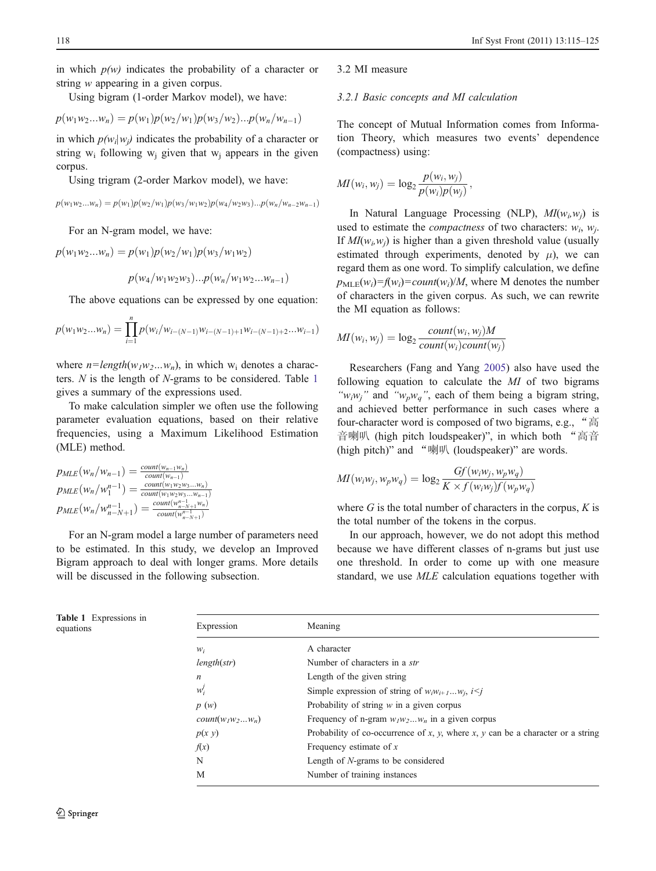in which  $p(w)$  indicates the probability of a character or string w appearing in a given corpus.

Using bigram (1-order Markov model), we have:

$$
p(w_1w_2...w_n) = p(w_1)p(w_2/w_1)p(w_3/w_2)...p(w_n/w_{n-1})
$$

in which  $p(w_i|w_i)$  indicates the probability of a character or string  $w_i$  following  $w_i$  given that  $w_i$  appears in the given corpus.

Using trigram (2-order Markov model), we have:

$$
p(w_1w_2...w_n) = p(w_1)p(w_2/w_1)p(w_3/w_1w_2)p(w_4/w_2w_3)...p(w_n/w_{n-2}w_{n-1})
$$

For an N-gram model, we have:

$$
p(w_1w_2...w_n) = p(w_1)p(w_2/w_1)p(w_3/w_1w_2)
$$

$$
p(w_4/w_1w_2w_3)...p(w_n/w_1w_2...w_{n-1})
$$

The above equations can be expressed by one equation:

$$
p(w_1w_2...w_n) = \prod_{i=1}^n p(w_i/w_{i-(N-1)}w_{i-(N-1)+1}w_{i-(N-1)+2}...w_{i-1})
$$

where  $n = length(w_1w_2...w_n)$ , in which w<sub>i</sub> denotes a characters. N is the length of N-grams to be considered. Table 1 gives a summary of the expressions used.

To make calculation simpler we often use the following parameter evaluation equations, based on their relative frequencies, using a Maximum Likelihood Estimation (MLE) method.

$$
PMLE(w_n/w_{n-1}) = \frac{count(w_{n-1}w_n)}{count(w_{n-1})}
$$
  
\n
$$
PMLE(w_n/w_1^{n-1}) = \frac{count(w_1w_2w_3...w_n)}{count(w_1w_2w_3...w_{n-1})}
$$
  
\n
$$
PMLE(w_n/w_{n-N+1}^{n-1}) = \frac{count(w_{n-N+1}^{n-1}w_n)}{count(w_{n-N+1}^{n-1})}
$$

For an N-gram model a large number of parameters need to be estimated. In this study, we develop an Improved Bigram approach to deal with longer grams. More details will be discussed in the following subsection.

#### 3.2 MI measure

#### 3.2.1 Basic concepts and MI calculation

The concept of Mutual Information comes from Information Theory, which measures two events' dependence (compactness) using:

$$
MI(w_i, w_j) = \log_2 \frac{p(w_i, w_j)}{p(w_i)p(w_j)},
$$

In Natural Language Processing (NLP),  $MI(w_i, w_j)$  is used to estimate the *compactness* of two characters:  $w_i$ ,  $w_j$ . If  $MI(w_i, w_j)$  is higher than a given threshold value (usually estimated through experiments, denoted by  $\mu$ ), we can regard them as one word. To simplify calculation, we define  $p_{\text{MLE}}(w_i)=f(w_i)=count(w_i)/M$ , where M denotes the number of characters in the given corpus. As such, we can rewrite the MI equation as follows:

$$
MI(w_i, w_j) = \log_2 \frac{count(w_i, w_j)M}{count(w_i)count(w_j)}
$$

Researchers (Fang and Yang [2005\)](#page-9-0) also have used the following equation to calculate the  $MI$  of two bigrams " $w_i w_j$ " and " $w_p w_q$ ", each of them being a bigram string, and achieved better performance in such cases where a four-character word is composed of two bigrams, e.g., "高 音喇叭 (high pitch loudspeaker)", in which both "高音 (high pitch)" and "喇叭 (loudspeaker)" are words.

$$
MI(w_iw_j, w_pw_q) = \log_2 \frac{Gf(w_iw_j, w_pw_q)}{K \times f(w_iw_j)f(w_pw_q)}
$$

where  $G$  is the total number of characters in the corpus,  $K$  is the total number of the tokens in the corpus.

In our approach, however, we do not adopt this method because we have different classes of n-grams but just use one threshold. In order to come up with one measure standard, we use MLE calculation equations together with

|           | Table 1 Expressions in |  |
|-----------|------------------------|--|
| equations |                        |  |

| Expression         | Meaning                                                                         |  |  |
|--------------------|---------------------------------------------------------------------------------|--|--|
| $W_i$              | A character                                                                     |  |  |
| length(str)        | Number of characters in a str                                                   |  |  |
| n                  | Length of the given string                                                      |  |  |
| $w_i^j$            | Simple expression of string of $w_iw_{i+1}w_i$ , $i < j$                        |  |  |
| p(w)               | Probability of string $w$ in a given corpus                                     |  |  |
| $count(w_1w_2w_n)$ | Frequency of n-gram $w_1w_2w_n$ in a given corpus                               |  |  |
| p(x y)             | Probability of co-occurrence of x, y, where x, y can be a character or a string |  |  |
| f(x)               | Frequency estimate of $x$                                                       |  |  |
| N                  | Length of N-grams to be considered                                              |  |  |
| М                  | Number of training instances                                                    |  |  |
|                    |                                                                                 |  |  |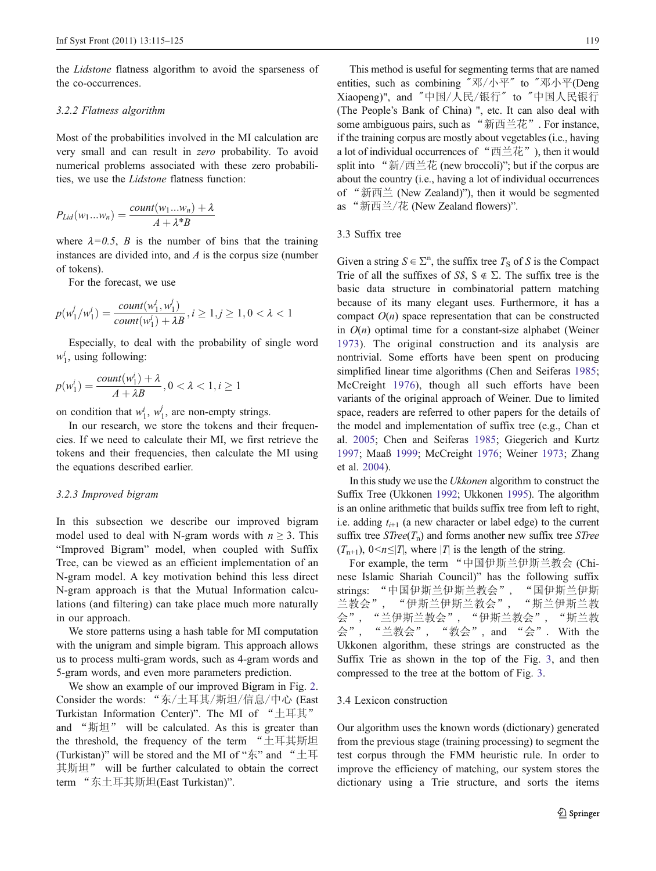the Lidstone flatness algorithm to avoid the sparseness of the co-occurrences.

#### 3.2.2 Flatness algorithm

Most of the probabilities involved in the MI calculation are very small and can result in zero probability. To avoid numerical problems associated with these zero probabilities, we use the Lidstone flatness function:

$$
P_{Lid}(w_1...w_n) = \frac{count(w_1...w_n) + \lambda}{A + \lambda^*B}
$$

where  $\lambda=0.5$ , B is the number of bins that the training instances are divided into, and A is the corpus size (number of tokens).

For the forecast, we use

$$
p(w_1^j/w_1^i) = \frac{count(w_1^i, w_1^j)}{count(w_1^i) + \lambda B}, i \ge 1, j \ge 1, 0 < \lambda < 1
$$

Especially, to deal with the probability of single word  $w_1^i$ , using following:

$$
p(w_1^i) = \frac{count(w_1^i) + \lambda}{A + \lambda B}, 0 < \lambda < 1, i \ge 1
$$

on condition that  $w_1^i$ ,  $w_1^j$ , are non-empty strings.

In our research, we store the tokens and their frequencies. If we need to calculate their MI, we first retrieve the tokens and their frequencies, then calculate the MI using the equations described earlier.

#### 3.2.3 Improved bigram

In this subsection we describe our improved bigram model used to deal with N-gram words with  $n \geq 3$ . This "Improved Bigram" model, when coupled with Suffix Tree, can be viewed as an efficient implementation of an N-gram model. A key motivation behind this less direct N-gram approach is that the Mutual Information calculations (and filtering) can take place much more naturally in our approach.

We store patterns using a hash table for MI computation with the unigram and simple bigram. This approach allows us to process multi-gram words, such as 4-gram words and 5-gram words, and even more parameters prediction.

We show an example of our improved Bigram in Fig. [2.](#page-5-0) Consider the words: "东/土耳其/斯坦/信息/中心 (East Turkistan Information Center)". The MI of "土耳其" and "斯坦" will be calculated. As this is greater than the threshold, the frequency of the term "土耳其斯坦 (Turkistan)" will be stored and the MI of " $\bar{\pi}$ " and " $\pm \bar{F}$ 其斯坦" will be further calculated to obtain the correct term "东土耳其斯坦(East Turkistan)".

This method is useful for segmenting terms that are named entities, such as combining "邓/小平" to "邓小平(Deng Xiaopeng)", and "中国/人民/银行" to "中国人民银行 (The People's Bank of China) ", etc. It can also deal with some ambiguous pairs, such as "新西兰花". For instance, if the training corpus are mostly about vegetables (i.e., having a lot of individual occurrences of "西兰花"), then it would split into "新/西兰花 (new broccoli)"; but if the corpus are about the country (i.e., having a lot of individual occurrences of "新西兰 (New Zealand)"), then it would be segmented as "新西兰/花 (New Zealand flowers)".

### 3.3 Suffix tree

Given a string  $S \in \Sigma^n$ , the suffix tree  $T_S$  of S is the Compact Trie of all the suffixes of  $S\$ ,  $\$  \notin \Sigma. The suffix tree is the basic data structure in combinatorial pattern matching because of its many elegant uses. Furthermore, it has a compact  $O(n)$  space representation that can be constructed in  $O(n)$  optimal time for a constant-size alphabet (Weiner [1973\)](#page-9-0). The original construction and its analysis are nontrivial. Some efforts have been spent on producing simplified linear time algorithms (Chen and Seiferas [1985;](#page-8-0) McCreight [1976](#page-9-0)), though all such efforts have been variants of the original approach of Weiner. Due to limited space, readers are referred to other papers for the details of the model and implementation of suffix tree (e.g., Chan et al. [2005;](#page-8-0) Chen and Seiferas [1985;](#page-8-0) Giegerich and Kurtz [1997](#page-9-0); Maaß [1999](#page-9-0); McCreight [1976](#page-9-0); Weiner [1973](#page-9-0); Zhang et al. [2004](#page-9-0)).

In this study we use the Ukkonen algorithm to construct the Suffix Tree (Ukkonen [1992](#page-9-0); Ukkonen [1995\)](#page-9-0). The algorithm is an online arithmetic that builds suffix tree from left to right, i.e. adding  $t_{i+1}$  (a new character or label edge) to the current suffix tree  $STree(T_n)$  and forms another new suffix tree  $STree$  $(T_{n+1}), 0 \le n \le |T|$ , where |T| is the length of the string.

For example, the term "中国伊斯兰伊斯兰教会 (Chinese Islamic Shariah Council)" has the following suffix strings: "中国伊斯兰伊斯兰教会", "国伊斯兰伊斯 兰教会", "伊斯兰伊斯兰教会", "斯兰伊斯兰教 会", "兰伊斯兰教会", "伊斯兰教会", "斯兰教 会", "兰教会", "教会", and "会". With the Ukkonen algorithm, these strings are constructed as the Suffix Trie as shown in the top of the Fig. [3,](#page-6-0) and then compressed to the tree at the bottom of Fig. [3.](#page-6-0)

# 3.4 Lexicon construction

Our algorithm uses the known words (dictionary) generated from the previous stage (training processing) to segment the test corpus through the FMM heuristic rule. In order to improve the efficiency of matching, our system stores the dictionary using a Trie structure, and sorts the items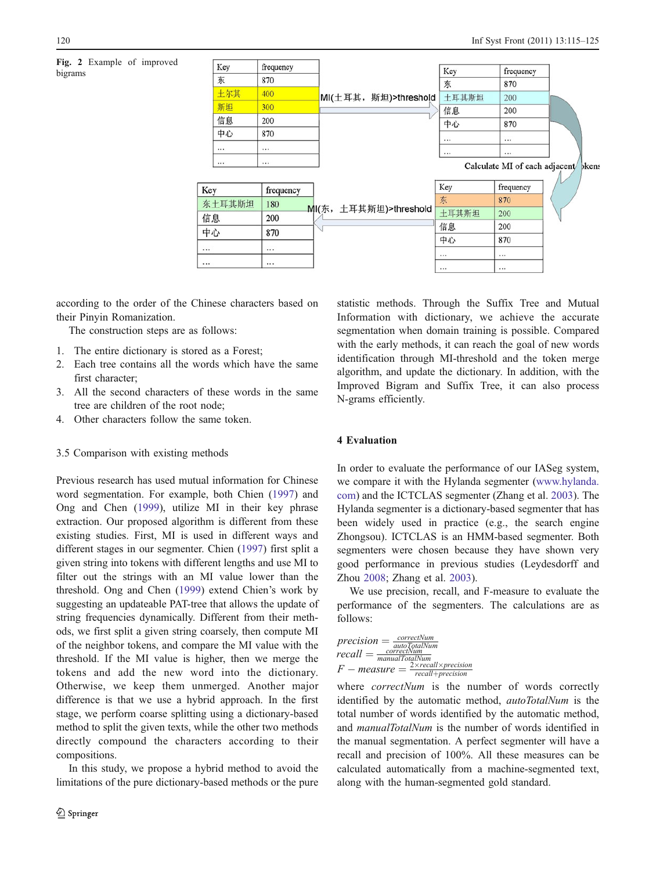<span id="page-5-0"></span>Fig. 2 Example of improved bigrams



according to the order of the Chinese characters based on their Pinyin Romanization.

The construction steps are as follows:

- 1. The entire dictionary is stored as a Forest;
- 2. Each tree contains all the words which have the same first character;
- 3. All the second characters of these words in the same tree are children of the root node;
- 4. Other characters follow the same token.
- 3.5 Comparison with existing methods

Previous research has used mutual information for Chinese word segmentation. For example, both Chien [\(1997](#page-9-0)) and Ong and Chen ([1999\)](#page-9-0), utilize MI in their key phrase extraction. Our proposed algorithm is different from these existing studies. First, MI is used in different ways and different stages in our segmenter. Chien ([1997\)](#page-9-0) first split a given string into tokens with different lengths and use MI to filter out the strings with an MI value lower than the threshold. Ong and Chen [\(1999](#page-9-0)) extend Chien's work by suggesting an updateable PAT-tree that allows the update of string frequencies dynamically. Different from their methods, we first split a given string coarsely, then compute MI of the neighbor tokens, and compare the MI value with the threshold. If the MI value is higher, then we merge the tokens and add the new word into the dictionary. Otherwise, we keep them unmerged. Another major difference is that we use a hybrid approach. In the first stage, we perform coarse splitting using a dictionary-based method to split the given texts, while the other two methods directly compound the characters according to their compositions.

In this study, we propose a hybrid method to avoid the limitations of the pure dictionary-based methods or the pure statistic methods. Through the Suffix Tree and Mutual Information with dictionary, we achieve the accurate segmentation when domain training is possible. Compared with the early methods, it can reach the goal of new words identification through MI-threshold and the token merge algorithm, and update the dictionary. In addition, with the Improved Bigram and Suffix Tree, it can also process N-grams efficiently.

# 4 Evaluation

In order to evaluate the performance of our IASeg system, we compare it with the Hylanda segmenter ([www.hylanda.](http://www.hylanda.com) [com](http://www.hylanda.com)) and the ICTCLAS segmenter (Zhang et al. [2003\)](#page-9-0). The Hylanda segmenter is a dictionary-based segmenter that has been widely used in practice (e.g., the search engine Zhongsou). ICTCLAS is an HMM-based segmenter. Both segmenters were chosen because they have shown very good performance in previous studies (Leydesdorff and Zhou [2008](#page-9-0); Zhang et al. [2003](#page-9-0)).

We use precision, recall, and F-measure to evaluate the performance of the segmenters. The calculations are as follows:

$$
precision = \frac{correctNum}{autoTotalNum}
$$
  
recall = 
$$
\frac{correctNum}{manualTotalNum}
$$
  
F - measure = 
$$
\frac{2 \times recall \times precision}{recall + precision}
$$

where *correctNum* is the number of words correctly identified by the automatic method, *autoTotalNum* is the total number of words identified by the automatic method, and manualTotalNum is the number of words identified in the manual segmentation. A perfect segmenter will have a recall and precision of 100%. All these measures can be calculated automatically from a machine-segmented text, along with the human-segmented gold standard.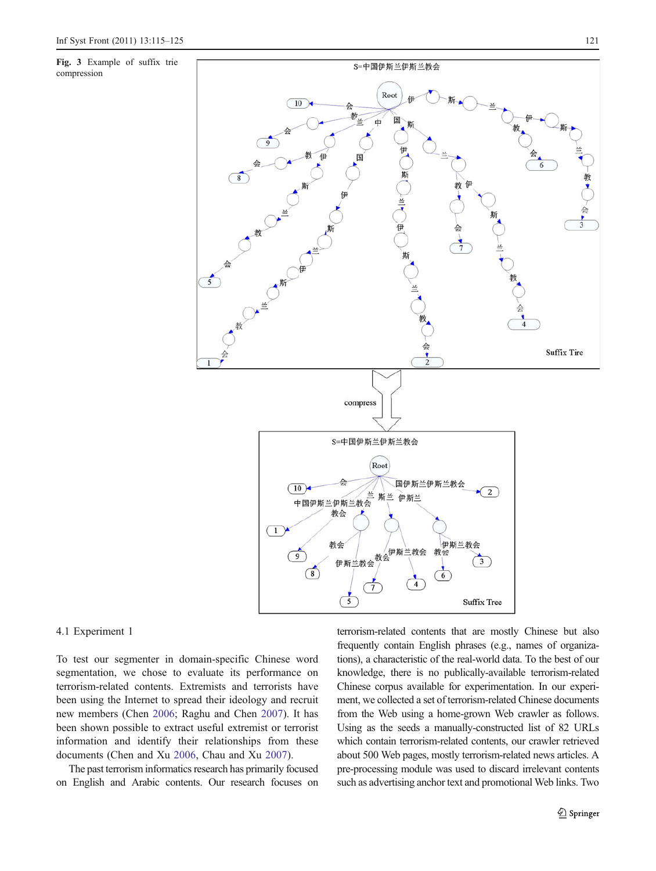<span id="page-6-0"></span>Fig. 3 Example of suffix trie compression



#### 4.1 Experiment 1

To test our segmenter in domain-specific Chinese word segmentation, we chose to evaluate its performance on terrorism-related contents. Extremists and terrorists have been using the Internet to spread their ideology and recruit new members (Chen [2006;](#page-8-0) Raghu and Chen [2007](#page-9-0)). It has been shown possible to extract useful extremist or terrorist information and identify their relationships from these documents (Chen and Xu [2006,](#page-9-0) Chau and Xu [2007\)](#page-8-0).

The past terrorism informatics research has primarily focused on English and Arabic contents. Our research focuses on terrorism-related contents that are mostly Chinese but also frequently contain English phrases (e.g., names of organizations), a characteristic of the real-world data. To the best of our knowledge, there is no publically-available terrorism-related Chinese corpus available for experimentation. In our experiment, we collected a set of terrorism-related Chinese documents from the Web using a home-grown Web crawler as follows. Using as the seeds a manually-constructed list of 82 URLs which contain terrorism-related contents, our crawler retrieved about 500 Web pages, mostly terrorism-related news articles. A pre-processing module was used to discard irrelevant contents such as advertising anchor text and promotional Web links. Two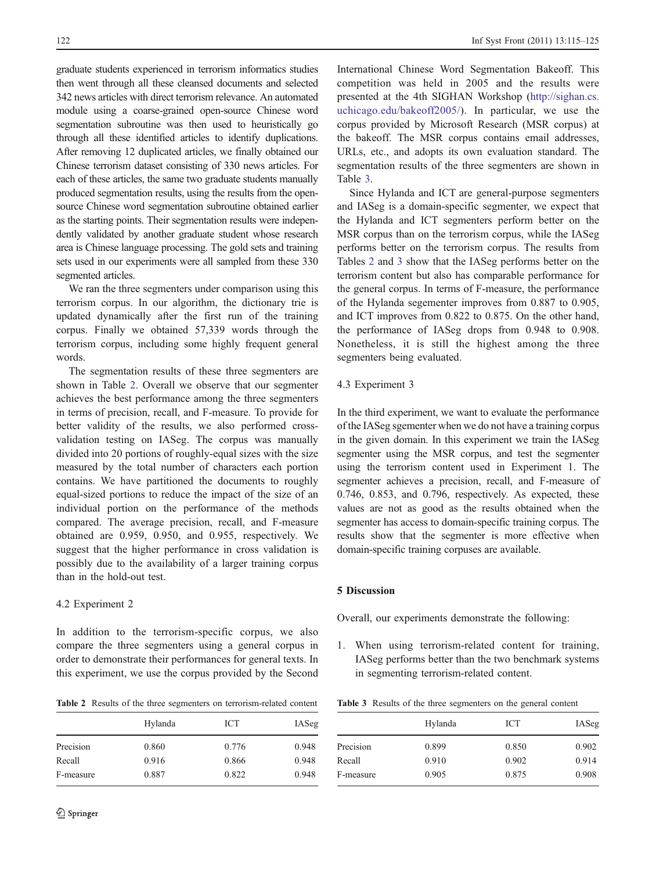<span id="page-7-0"></span>graduate students experienced in terrorism informatics studies then went through all these cleansed documents and selected 342 news articles with direct terrorism relevance. An automated module using a coarse-grained open-source Chinese word segmentation subroutine was then used to heuristically go through all these identified articles to identify duplications. After removing 12 duplicated articles, we finally obtained our Chinese terrorism dataset consisting of 330 news articles. For each of these articles, the same two graduate students manually produced segmentation results, using the results from the opensource Chinese word segmentation subroutine obtained earlier as the starting points. Their segmentation results were independently validated by another graduate student whose research area is Chinese language processing. The gold sets and training sets used in our experiments were all sampled from these 330 segmented articles.

We ran the three segmenters under comparison using this terrorism corpus. In our algorithm, the dictionary trie is updated dynamically after the first run of the training corpus. Finally we obtained 57,339 words through the terrorism corpus, including some highly frequent general words.

The segmentation results of these three segmenters are shown in Table 2. Overall we observe that our segmenter achieves the best performance among the three segmenters in terms of precision, recall, and F-measure. To provide for better validity of the results, we also performed crossvalidation testing on IASeg. The corpus was manually divided into 20 portions of roughly-equal sizes with the size measured by the total number of characters each portion contains. We have partitioned the documents to roughly equal-sized portions to reduce the impact of the size of an individual portion on the performance of the methods compared. The average precision, recall, and F-measure obtained are 0.959, 0.950, and 0.955, respectively. We suggest that the higher performance in cross validation is possibly due to the availability of a larger training corpus than in the hold-out test.

# 4.2 Experiment 2

In addition to the terrorism-specific corpus, we also compare the three segmenters using a general corpus in order to demonstrate their performances for general texts. In this experiment, we use the corpus provided by the Second

Table 2 Results of the three segmenters on terrorism-related content

|           | Hylanda | ICT   | IASeg |
|-----------|---------|-------|-------|
| Precision | 0.860   | 0.776 | 0.948 |
| Recall    | 0.916   | 0.866 | 0.948 |
| F-measure | 0.887   | 0.822 | 0.948 |

International Chinese Word Segmentation Bakeoff. This competition was held in 2005 and the results were presented at the 4th SIGHAN Workshop ([http://sighan.cs.](http://sighan.cs.uchicago.edu/bakeoff2005/) [uchicago.edu/bakeoff2005/](http://sighan.cs.uchicago.edu/bakeoff2005/)). In particular, we use the corpus provided by Microsoft Research (MSR corpus) at the bakeoff. The MSR corpus contains email addresses, URLs, etc., and adopts its own evaluation standard. The segmentation results of the three segmenters are shown in Table 3.

Since Hylanda and ICT are general-purpose segmenters and IASeg is a domain-specific segmenter, we expect that the Hylanda and ICT segmenters perform better on the MSR corpus than on the terrorism corpus, while the IASeg performs better on the terrorism corpus. The results from Tables 2 and 3 show that the IASeg performs better on the terrorism content but also has comparable performance for the general corpus. In terms of F-measure, the performance of the Hylanda segementer improves from 0.887 to 0.905, and ICT improves from 0.822 to 0.875. On the other hand, the performance of IASeg drops from 0.948 to 0.908. Nonetheless, it is still the highest among the three segmenters being evaluated.

# 4.3 Experiment 3

In the third experiment, we want to evaluate the performance of the IASeg sgementer when we do not have a training corpus in the given domain. In this experiment we train the IASeg segmenter using the MSR corpus, and test the segmenter using the terrorism content used in Experiment 1. The segmenter achieves a precision, recall, and F-measure of 0.746, 0.853, and 0.796, respectively. As expected, these values are not as good as the results obtained when the segmenter has access to domain-specific training corpus. The results show that the segmenter is more effective when domain-specific training corpuses are available.

# 5 Discussion

Overall, our experiments demonstrate the following:

1. When using terrorism-related content for training, IASeg performs better than the two benchmark systems in segmenting terrorism-related content.

Table 3 Results of the three segmenters on the general content

|           | Hylanda | <b>ICT</b> | IASeg |
|-----------|---------|------------|-------|
| Precision | 0.899   | 0.850      | 0.902 |
| Recall    | 0.910   | 0.902      | 0.914 |
| F-measure | 0.905   | 0.875      | 0.908 |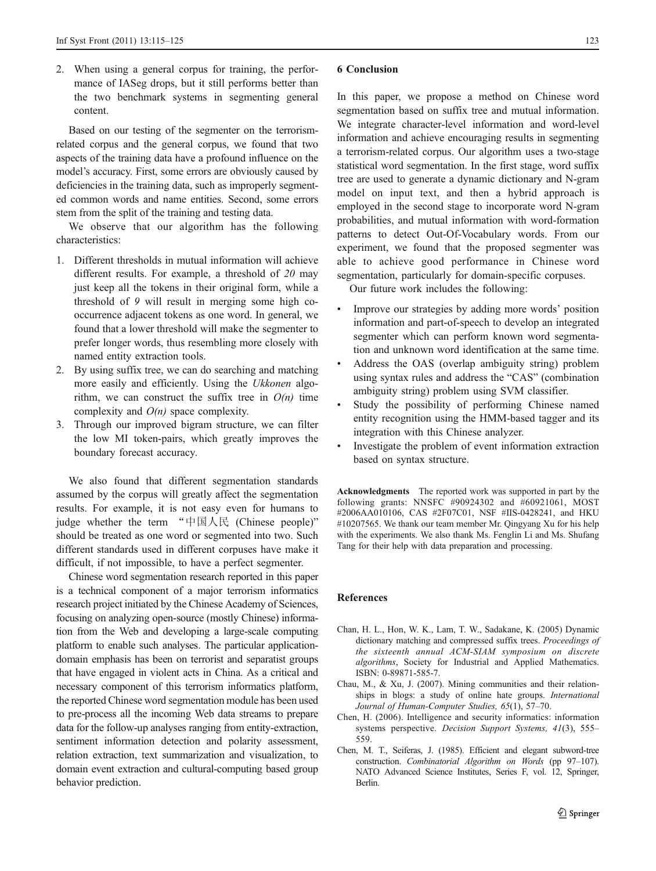<span id="page-8-0"></span>2. When using a general corpus for training, the performance of IASeg drops, but it still performs better than the two benchmark systems in segmenting general content.

Based on our testing of the segmenter on the terrorismrelated corpus and the general corpus, we found that two aspects of the training data have a profound influence on the model's accuracy. First, some errors are obviously caused by deficiencies in the training data, such as improperly segmented common words and name entities. Second, some errors stem from the split of the training and testing data.

We observe that our algorithm has the following characteristics:

- 1. Different thresholds in mutual information will achieve different results. For example, a threshold of 20 may just keep all the tokens in their original form, while a threshold of 9 will result in merging some high cooccurrence adjacent tokens as one word. In general, we found that a lower threshold will make the segmenter to prefer longer words, thus resembling more closely with named entity extraction tools.
- 2. By using suffix tree, we can do searching and matching more easily and efficiently. Using the Ukkonen algorithm, we can construct the suffix tree in  $O(n)$  time complexity and  $O(n)$  space complexity.
- 3. Through our improved bigram structure, we can filter the low MI token-pairs, which greatly improves the boundary forecast accuracy.

We also found that different segmentation standards assumed by the corpus will greatly affect the segmentation results. For example, it is not easy even for humans to judge whether the term "中国人民 (Chinese people)" should be treated as one word or segmented into two. Such different standards used in different corpuses have make it difficult, if not impossible, to have a perfect segmenter.

Chinese word segmentation research reported in this paper is a technical component of a major terrorism informatics research project initiated by the Chinese Academy of Sciences, focusing on analyzing open-source (mostly Chinese) information from the Web and developing a large-scale computing platform to enable such analyses. The particular applicationdomain emphasis has been on terrorist and separatist groups that have engaged in violent acts in China. As a critical and necessary component of this terrorism informatics platform, the reported Chinese word segmentation module has been used to pre-process all the incoming Web data streams to prepare data for the follow-up analyses ranging from entity-extraction, sentiment information detection and polarity assessment, relation extraction, text summarization and visualization, to domain event extraction and cultural-computing based group behavior prediction.

#### 6 Conclusion

In this paper, we propose a method on Chinese word segmentation based on suffix tree and mutual information. We integrate character-level information and word-level information and achieve encouraging results in segmenting a terrorism-related corpus. Our algorithm uses a two-stage statistical word segmentation. In the first stage, word suffix tree are used to generate a dynamic dictionary and N-gram model on input text, and then a hybrid approach is employed in the second stage to incorporate word N-gram probabilities, and mutual information with word-formation patterns to detect Out-Of-Vocabulary words. From our experiment, we found that the proposed segmenter was able to achieve good performance in Chinese word segmentation, particularly for domain-specific corpuses.

Our future work includes the following:

- Improve our strategies by adding more words' position information and part-of-speech to develop an integrated segmenter which can perform known word segmentation and unknown word identification at the same time.
- & Address the OAS (overlap ambiguity string) problem using syntax rules and address the "CAS" (combination ambiguity string) problem using SVM classifier.
- Study the possibility of performing Chinese named entity recognition using the HMM-based tagger and its integration with this Chinese analyzer.
- & Investigate the problem of event information extraction based on syntax structure.

Acknowledgments The reported work was supported in part by the following grants: NNSFC #90924302 and #60921061, MOST #2006AA010106, CAS #2F07C01, NSF #IIS-0428241, and HKU #10207565. We thank our team member Mr. Qingyang Xu for his help with the experiments. We also thank Ms. Fenglin Li and Ms. Shufang Tang for their help with data preparation and processing.

#### References

- Chan, H. L., Hon, W. K., Lam, T. W., Sadakane, K. (2005) Dynamic dictionary matching and compressed suffix trees. Proceedings of the sixteenth annual ACM-SIAM symposium on discrete algorithms, Society for Industrial and Applied Mathematics. ISBN: 0-89871-585-7.
- Chau, M., & Xu, J. (2007). Mining communities and their relationships in blogs: a study of online hate groups. International Journal of Human-Computer Studies, 65(1), 57–70.
- Chen, H. (2006). Intelligence and security informatics: information systems perspective. Decision Support Systems, 41(3), 555– 559.
- Chen, M. T., Seiferas, J. (1985). Efficient and elegant subword-tree construction. Combinatorial Algorithm on Words (pp 97–107). NATO Advanced Science Institutes, Series F, vol. 12, Springer, Berlin.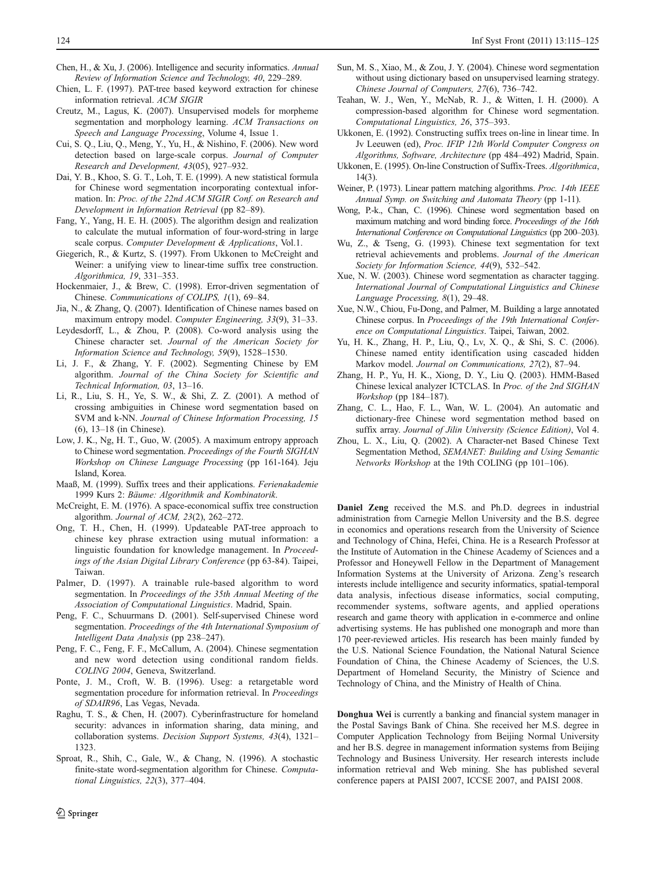- <span id="page-9-0"></span>Chen, H., & Xu, J. (2006). Intelligence and security informatics. Annual Review of Information Science and Technology, 40, 229–289.
- Chien, L. F. (1997). PAT-tree based keyword extraction for chinese information retrieval. ACM SIGIR
- Creutz, M., Lagus, K. (2007). Unsupervised models for morpheme segmentation and morphology learning. ACM Transactions on Speech and Language Processing, Volume 4, Issue 1.
- Cui, S. Q., Liu, Q., Meng, Y., Yu, H., & Nishino, F. (2006). New word detection based on large-scale corpus. Journal of Computer Research and Development, 43(05), 927–932.
- Dai, Y. B., Khoo, S. G. T., Loh, T. E. (1999). A new statistical formula for Chinese word segmentation incorporating contextual information. In: Proc. of the 22nd ACM SIGIR Conf. on Research and Development in Information Retrieval (pp 82–89).
- Fang, Y., Yang, H. E. H. (2005). The algorithm design and realization to calculate the mutual information of four-word-string in large scale corpus. Computer Development & Applications, Vol.1.
- Giegerich, R., & Kurtz, S. (1997). From Ukkonen to McCreight and Weiner: a unifying view to linear-time suffix tree construction. Algorithmica, 19, 331–353.
- Hockenmaier, J., & Brew, C. (1998). Error-driven segmentation of Chinese. Communications of COLIPS, 1(1), 69–84.
- Jia, N., & Zhang, Q. (2007). Identification of Chinese names based on maximum entropy model. Computer Engineering, 33(9), 31–33.
- Leydesdorff, L., & Zhou, P. (2008). Co-word analysis using the Chinese character set. Journal of the American Society for Information Science and Technology, 59(9), 1528–1530.
- Li, J. F., & Zhang, Y. F. (2002). Segmenting Chinese by EM algorithm. Journal of the China Society for Scientific and Technical Information, 03, 13–16.
- Li, R., Liu, S. H., Ye, S. W., & Shi, Z. Z. (2001). A method of crossing ambiguities in Chinese word segmentation based on SVM and k-NN. Journal of Chinese Information Processing, 15 (6), 13–18 (in Chinese).
- Low, J. K., Ng, H. T., Guo, W. (2005). A maximum entropy approach to Chinese word segmentation. Proceedings of the Fourth SIGHAN Workshop on Chinese Language Processing (pp 161-164). Jeju Island, Korea.
- Maaß, M. (1999). Suffix trees and their applications. Ferienakademie 1999 Kurs 2: Bäume: Algorithmik and Kombinatorik.
- McCreight, E. M. (1976). A space-economical suffix tree construction algorithm. Journal of ACM, 23(2), 262–272.
- Ong, T. H., Chen, H. (1999). Updateable PAT-tree approach to chinese key phrase extraction using mutual information: a linguistic foundation for knowledge management. In Proceedings of the Asian Digital Library Conference (pp 63-84). Taipei, Taiwan.
- Palmer, D. (1997). A trainable rule-based algorithm to word segmentation. In Proceedings of the 35th Annual Meeting of the Association of Computational Linguistics. Madrid, Spain.
- Peng, F. C., Schuurmans D. (2001). Self-supervised Chinese word segmentation. Proceedings of the 4th International Symposium of Intelligent Data Analysis (pp 238–247).
- Peng, F. C., Feng, F. F., McCallum, A. (2004). Chinese segmentation and new word detection using conditional random fields. COLING 2004, Geneva, Switzerland.
- Ponte, J. M., Croft, W. B. (1996). Useg: a retargetable word segmentation procedure for information retrieval. In Proceedings of SDAIR96, Las Vegas, Nevada.
- Raghu, T. S., & Chen, H. (2007). Cyberinfrastructure for homeland security: advances in information sharing, data mining, and collaboration systems. Decision Support Systems, 43(4), 1321– 1323.
- Sproat, R., Shih, C., Gale, W., & Chang, N. (1996). A stochastic finite-state word-segmentation algorithm for Chinese. Computational Linguistics, 22(3), 377–404.
- Sun, M. S., Xiao, M., & Zou, J. Y. (2004). Chinese word segmentation without using dictionary based on unsupervised learning strategy. Chinese Journal of Computers, 27(6), 736–742.
- Teahan, W. J., Wen, Y., McNab, R. J., & Witten, I. H. (2000). A compression-based algorithm for Chinese word segmentation. Computational Linguistics, 26, 375–393.
- Ukkonen, E. (1992). Constructing suffix trees on-line in linear time. In Jv Leeuwen (ed), Proc. IFIP 12th World Computer Congress on Algorithms, Software, Architecture (pp 484–492) Madrid, Spain.
- Ukkonen, E. (1995). On-line Construction of Suffix-Trees. Algorithmica, 14(3).
- Weiner, P. (1973). Linear pattern matching algorithms. *Proc. 14th IEEE* Annual Symp. on Switching and Automata Theory (pp 1-11).
- Wong, P.-k., Chan, C. (1996). Chinese word segmentation based on maximum matching and word binding force. Proceedings of the 16th International Conference on Computational Linguistics (pp 200–203).
- Wu, Z., & Tseng, G. (1993). Chinese text segmentation for text retrieval achievements and problems. Journal of the American Society for Information Science, 44(9), 532–542.
- Xue, N. W. (2003). Chinese word segmentation as character tagging. International Journal of Computational Linguistics and Chinese Language Processing, 8(1), 29–48.
- Xue, N.W., Chiou, Fu-Dong, and Palmer, M. Building a large annotated Chinese corpus. In Proceedings of the 19th International Conference on Computational Linguistics. Taipei, Taiwan, 2002.
- Yu, H. K., Zhang, H. P., Liu, Q., Lv, X. Q., & Shi, S. C. (2006). Chinese named entity identification using cascaded hidden Markov model. Journal on Communications, 27(2), 87–94.
- Zhang, H. P., Yu, H. K., Xiong, D. Y., Liu Q. (2003). HMM-Based Chinese lexical analyzer ICTCLAS. In Proc. of the 2nd SIGHAN Workshop (pp 184–187).
- Zhang, C. L., Hao, F. L., Wan, W. L. (2004). An automatic and dictionary-free Chinese word segmentation method based on suffix array. Journal of Jilin University (Science Edition), Vol 4.
- Zhou, L. X., Liu, Q. (2002). A Character-net Based Chinese Text Segmentation Method, SEMANET: Building and Using Semantic Networks Workshop at the 19th COLING (pp 101–106).

Daniel Zeng received the M.S. and Ph.D. degrees in industrial administration from Carnegie Mellon University and the B.S. degree in economics and operations research from the University of Science and Technology of China, Hefei, China. He is a Research Professor at the Institute of Automation in the Chinese Academy of Sciences and a Professor and Honeywell Fellow in the Department of Management Information Systems at the University of Arizona. Zeng's research interests include intelligence and security informatics, spatial-temporal data analysis, infectious disease informatics, social computing, recommender systems, software agents, and applied operations research and game theory with application in e-commerce and online advertising systems. He has published one monograph and more than 170 peer-reviewed articles. His research has been mainly funded by the U.S. National Science Foundation, the National Natural Science Foundation of China, the Chinese Academy of Sciences, the U.S. Department of Homeland Security, the Ministry of Science and Technology of China, and the Ministry of Health of China.

Donghua Wei is currently a banking and financial system manager in the Postal Savings Bank of China. She received her M.S. degree in Computer Application Technology from Beijing Normal University and her B.S. degree in management information systems from Beijing Technology and Business University. Her research interests include information retrieval and Web mining. She has published several conference papers at PAISI 2007, ICCSE 2007, and PAISI 2008.